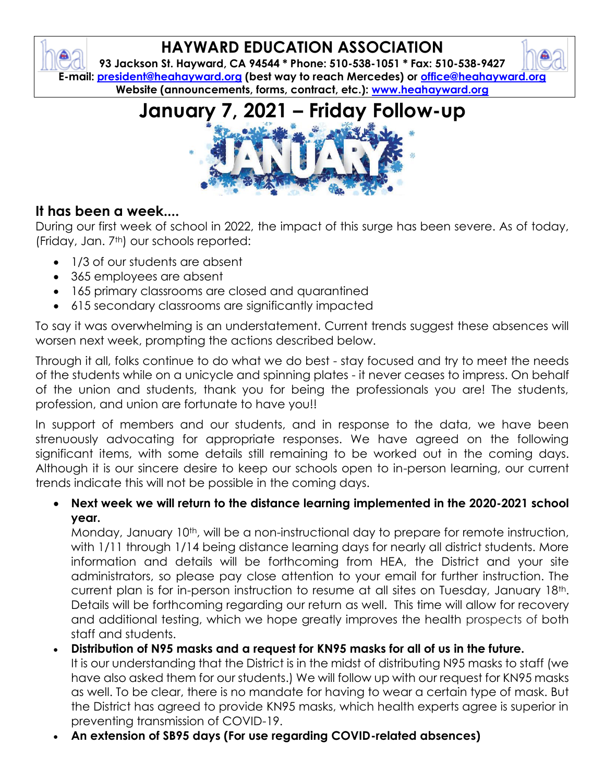# **HAYWARD EDUCATION ASSOCIATION**

**93 Jackson St. Hayward, CA 94544 \* Phone: 510-538-1051 \* Fax: 510-538-9427 E-mail: [president@heahayward.org](mailto:president@heahayward.org) (best way to reach Mercedes) or [office@heahayward.org](mailto:office@heahayward.org) Website (announcements, forms, contract, etc.): [www.heahayward.org](http://www.heahayward.org/)**

**January 7, 2021 – Friday Follow-up**

### **It has been a week....**

During our first week of school in 2022, the impact of this surge has been severe. As of today, (Friday, Jan. 7th) our schools reported:

- 1/3 of our students are absent
- 365 employees are absent
- 165 primary classrooms are closed and quarantined
- 615 secondary classrooms are significantly impacted

To say it was overwhelming is an understatement. Current trends suggest these absences will worsen next week, prompting the actions described below.

Through it all, folks continue to do what we do best - stay focused and try to meet the needs of the students while on a unicycle and spinning plates - it never ceases to impress. On behalf of the union and students, thank you for being the professionals you are! The students, profession, and union are fortunate to have you!!

In support of members and our students, and in response to the data, we have been strenuously advocating for appropriate responses. We have agreed on the following significant items, with some details still remaining to be worked out in the coming days. Although it is our sincere desire to keep our schools open to in-person learning, our current trends indicate this will not be possible in the coming days.

• **Next week we will return to the distance learning implemented in the 2020-2021 school year.**

Monday, January 10<sup>th</sup>, will be a non-instructional day to prepare for remote instruction, with 1/11 through 1/14 being distance learning days for nearly all district students. More information and details will be forthcoming from HEA, the District and your site administrators, so please pay close attention to your email for further instruction. The current plan is for in-person instruction to resume at all sites on Tuesday, January 18th. Details will be forthcoming regarding our return as well. This time will allow for recovery and additional testing, which we hope greatly improves the health prospects of both staff and students.

- **Distribution of N95 masks and a request for KN95 masks for all of us in the future.**  It is our understanding that the District is in the midst of distributing N95 masks to staff (we have also asked them for our students.) We will follow up with our request for KN95 masks as well. To be clear, there is no mandate for having to wear a certain type of mask. But the District has agreed to provide KN95 masks, which health experts agree is superior in preventing transmission of COVID-19.
- **An extension of SB95 days (For use regarding COVID-related absences)**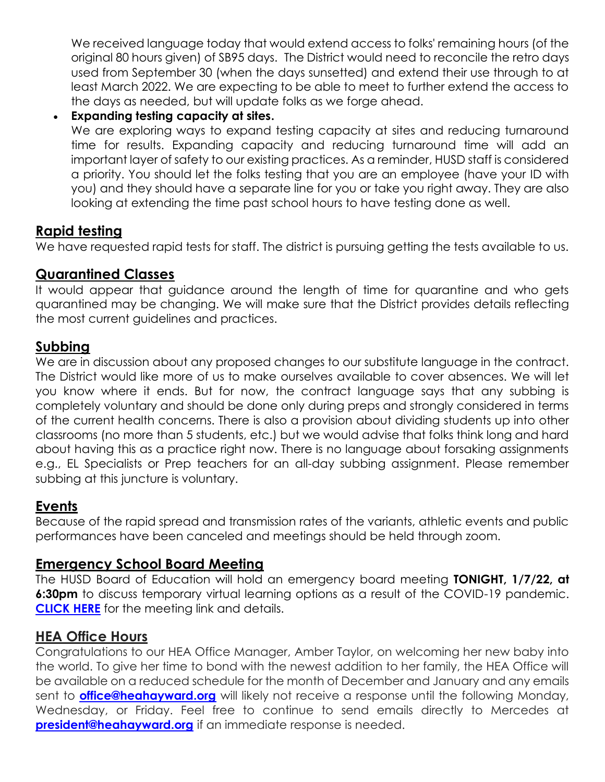We received language today that would extend access to folks' remaining hours (of the original 80 hours given) of SB95 days. The District would need to reconcile the retro days used from September 30 (when the days sunsetted) and extend their use through to at least March 2022. We are expecting to be able to meet to further extend the access to the days as needed, but will update folks as we forge ahead.

• **Expanding testing capacity at sites.**

We are exploring ways to expand testing capacity at sites and reducing turnaround time for results. Expanding capacity and reducing turnaround time will add an important layer of safety to our existing practices. As a reminder, HUSD staff is considered a priority. You should let the folks testing that you are an employee (have your ID with you) and they should have a separate line for you or take you right away. They are also looking at extending the time past school hours to have testing done as well.

#### **Rapid testing**

We have requested rapid tests for staff. The district is pursuing getting the tests available to us.

#### **Quarantined Classes**

It would appear that guidance around the length of time for quarantine and who gets quarantined may be changing. We will make sure that the District provides details reflecting the most current guidelines and practices.

#### **Subbing**

We are in discussion about any proposed changes to our substitute language in the contract. The District would like more of us to make ourselves available to cover absences. We will let you know where it ends. But for now, the contract language says that any subbing is completely voluntary and should be done only during preps and strongly considered in terms of the current health concerns. There is also a provision about dividing students up into other classrooms (no more than 5 students, etc.) but we would advise that folks think long and hard about having this as a practice right now. There is no language about forsaking assignments e.g., EL Specialists or Prep teachers for an all-day subbing assignment. Please remember subbing at this juncture is voluntary.

#### **Events**

Because of the rapid spread and transmission rates of the variants, athletic events and public performances have been canceled and meetings should be held through zoom.

#### **Emergency School Board Meeting**

The HUSD Board of Education will hold an emergency board meeting **TONIGHT, 1/7/22, at 6:30pm** to discuss temporary virtual learning options as a result of the COVID-19 pandemic. **[CLICK HERE](https://www.husd.us/boardt)** for the meeting link and details.

#### **HEA Office Hours**

Congratulations to our HEA Office Manager, Amber Taylor, on welcoming her new baby into the world. To give her time to bond with the newest addition to her family, the HEA Office will be available on a reduced schedule for the month of December and January and any emails sent to **[office@heahayward.org](mailto:office@heahayward.org)** will likely not receive a response until the following Monday, Wednesday, or Friday. Feel free to continue to send emails directly to Mercedes at **[president@heahayward.org](mailto:president@heahayward.org)** if an immediate response is needed.